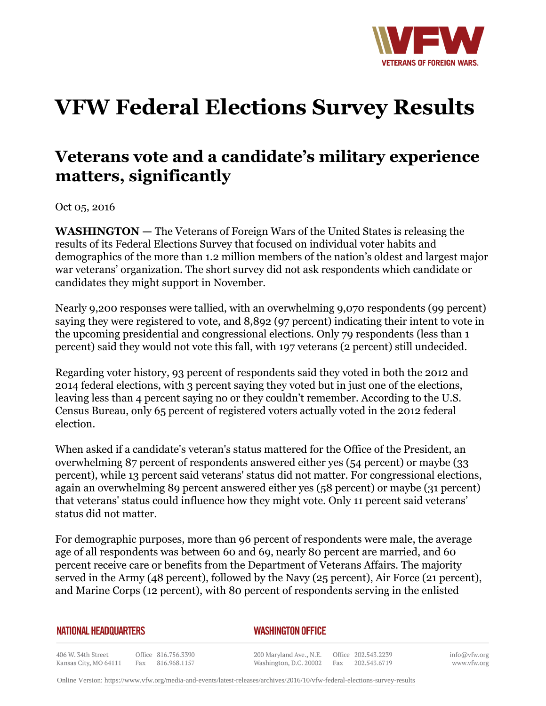

## **VFW Federal Elections Survey Results**

## **Veterans vote and a candidate's military experience matters, significantly**

Oct 05, 2016

**WASHINGTON —** The Veterans of Foreign Wars of the United States is releasing the results of its Federal Elections Survey that focused on individual voter habits and demographics of the more than 1.2 million members of the nation's oldest and largest major war veterans' organization. The short survey did not ask respondents which candidate or candidates they might support in November.

Nearly 9,200 responses were tallied, with an overwhelming 9,070 respondents (99 percent) saying they were registered to vote, and 8,892 (97 percent) indicating their intent to vote in the upcoming presidential and congressional elections. Only 79 respondents (less than 1 percent) said they would not vote this fall, with 197 veterans (2 percent) still undecided.

Regarding voter history, 93 percent of respondents said they voted in both the 2012 and 2014 federal elections, with 3 percent saying they voted but in just one of the elections, leaving less than 4 percent saying no or they couldn't remember. According to the U.S. Census Bureau, only 65 percent of registered voters actually voted in the 2012 federal election.

When asked if a candidate's veteran's status mattered for the Office of the President, an overwhelming 87 percent of respondents answered either yes (54 percent) or maybe (33 percent), while 13 percent said veterans' status did not matter. For congressional elections, again an overwhelming 89 percent answered either yes (58 percent) or maybe (31 percent) that veterans' status could influence how they might vote. Only 11 percent said veterans' status did not matter.

For demographic purposes, more than 96 percent of respondents were male, the average age of all respondents was between 60 and 69, nearly 80 percent are married, and 60 percent receive care or benefits from the Department of Veterans Affairs. The majority served in the Army (48 percent), followed by the Navy (25 percent), Air Force (21 percent), and Marine Corps (12 percent), with 80 percent of respondents serving in the enlisted

## **NATIONAL HEADQUARTERS**

## *WASHINGTON OFFICE*

406 W. 34th Street Office 816.756.3390 Kansas City, MO 64111 Fax 816.968.1157

200 Maryland Ave., N.E. Washington, D.C. 20002

Office 202.543.2239 Fax 202.543.6719 info@vfw.org www.vfw.org

Online Version:<https://www.vfw.org/media-and-events/latest-releases/archives/2016/10/vfw-federal-elections-survey-results>